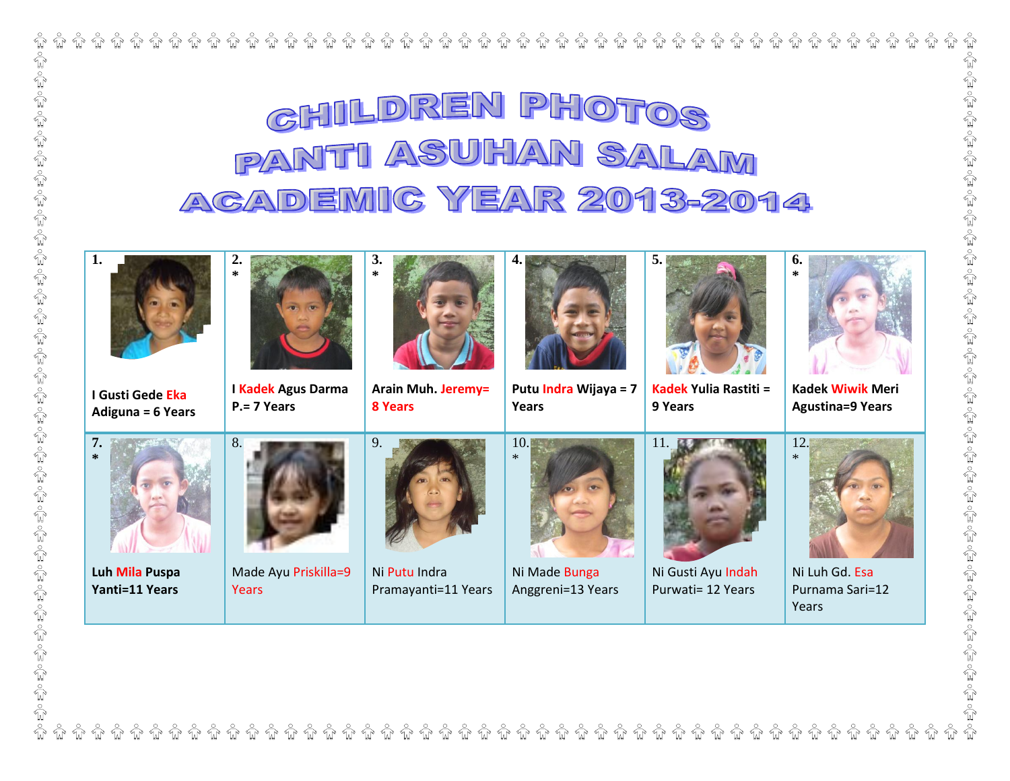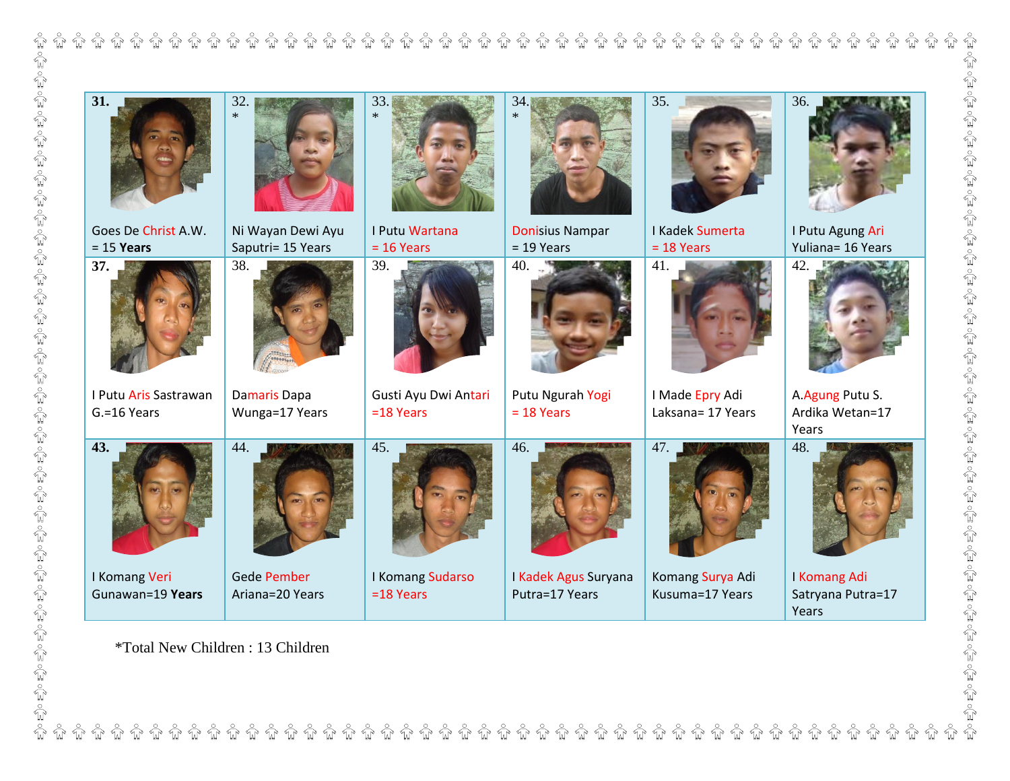| 31.                                  | 32.<br>$\ast$                          | 33.                                 | 34.<br>$\ast$                          | 35.                                  | 36.                                         |
|--------------------------------------|----------------------------------------|-------------------------------------|----------------------------------------|--------------------------------------|---------------------------------------------|
| Goes De Christ A.W.<br>$= 15$ Years  | Ni Wayan Dewi Ayu<br>Saputri= 15 Years | I Putu Wartana<br>$= 16$ Years      | <b>Donisius Nampar</b><br>$= 19$ Years | I Kadek Sumerta<br>$= 18$ Years      | I Putu Agung Ari<br>Yuliana= 16 Years       |
| 37.                                  | 38.                                    | 39.                                 | 40.                                    | 41.                                  | 42.                                         |
| I Putu Aris Sastrawan<br>G.=16 Years | Damaris Dapa<br>Wunga=17 Years         | Gusti Ayu Dwi Antari<br>$=18$ Years | Putu Ngurah Yogi<br>$= 18$ Years       | I Made Epry Adi<br>Laksana= 17 Years | A.Agung Putu S.<br>Ardika Wetan=17<br>Years |
| 43.                                  | 44.                                    | 45.                                 | 46.                                    | 47.                                  | 48.                                         |
| I Komang Veri<br>Gunawan=19 Years    | <b>Gede Pember</b><br>Ariana=20 Years  | I Komang Sudarso<br>$=18$ Years     | I Kadek Agus Suryana<br>Putra=17 Years | Komang Surya Adi<br>Kusuma=17 Years  | I Komang Adi<br>Satryana Putra=17<br>Years  |

\*Total New Children : 13 Children

 $\overset{\circ}{\mathbb{H}}\overset{\circ}{\mathbb{H}}$ 

**กิ บิ บิ บิ บิ บิ** บิ

 $\stackrel{\circ}{\mathbb{H}}\stackrel{\circ}{\mathbb{H}}$ 

 $\sqrt{\frac{6}{2}}$ 

 $\sqrt[\infty]{\mathbb{R}}$ 

 $\sqrt{\frac{6}{4}}$  $\sqrt{\frac{6}{3}}$  $\sqrt{\frac{6}{3}}$  $\sqrt{\frac{1}{2}}$ 

 $\sqrt{\frac{1}{2}}$ 

 $\sqrt{\frac{6}{3}}$ 

 $\sqrt{\frac{1}{2}}$ 

 $\stackrel{\circ}{\mathbb{H}}\stackrel{\circ}{\mathbb{H}}$ 

 $\sqrt{\frac{1}{2}}$  $\sqrt{\frac{2}{3}}$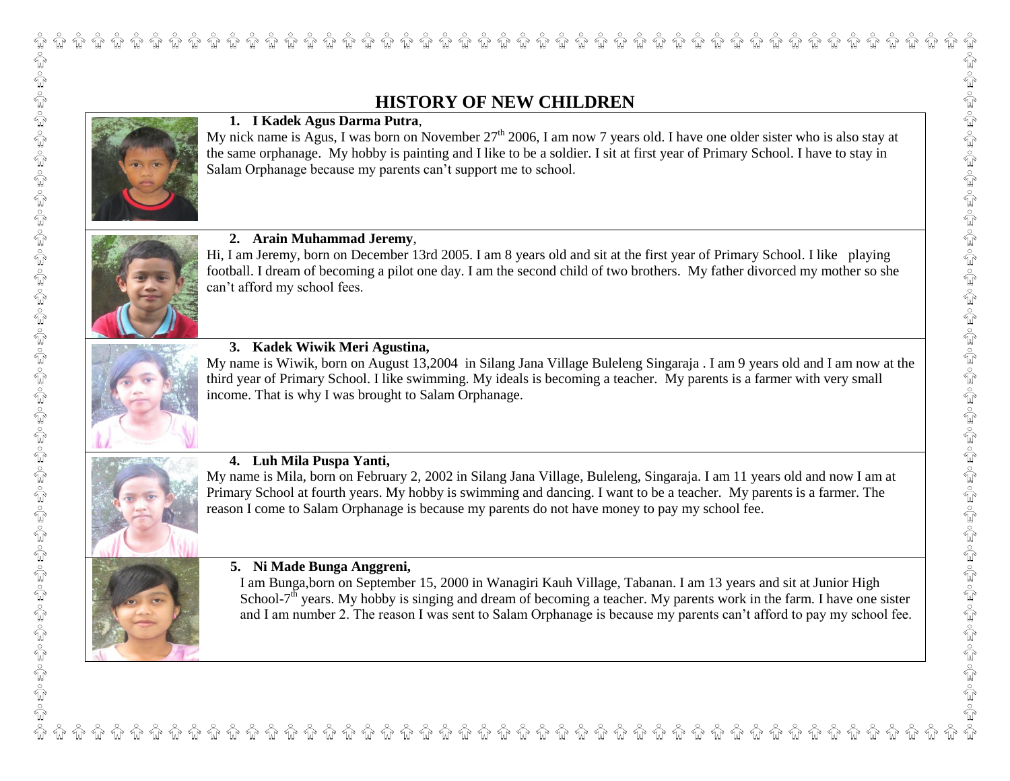# **HISTORY OF NEW CHILDREN**



## **1. I Kadek Agus Darma Putra**,

My nick name is Agus, I was born on November  $27<sup>th</sup> 2006$ , I am now 7 years old. I have one older sister who is also stay at the same orphanage. My hobby is painting and I like to be a soldier. I sit at first year of Primary School. I have to stay in Salam Orphanage because my parents can't support me to school.



### **2. Arain Muhammad Jeremy**,

Hi, I am Jeremy, born on December 13rd 2005. I am 8 years old and sit at the first year of Primary School. I like playing football. I dream of becoming a pilot one day. I am the second child of two brothers. My father divorced my mother so she can't afford my school fees.



#### **3. Kadek Wiwik Meri Agustina,**

My name is Wiwik, born on August 13,2004 in Silang Jana Village Buleleng Singaraja . I am 9 years old and I am now at the third year of Primary School. I like swimming. My ideals is becoming a teacher. My parents is a farmer with very small income. That is why I was brought to Salam Orphanage.



### **4. Luh Mila Puspa Yanti,**

My name is Mila, born on February 2, 2002 in Silang Jana Village, Buleleng, Singaraja. I am 11 years old and now I am at Primary School at fourth years. My hobby is swimming and dancing. I want to be a teacher. My parents is a farmer. The reason I come to Salam Orphanage is because my parents do not have money to pay my school fee.

#### **5. Ni Made Bunga Anggreni,**

I am Bunga,born on September 15, 2000 in Wanagiri Kauh Village, Tabanan. I am 13 years and sit at Junior High School- $7<sup>th</sup>$  years. My hobby is singing and dream of becoming a teacher. My parents work in the farm. I have one sister and I am number 2. The reason I was sent to Salam Orphanage is because my parents can't afford to pay my school fee.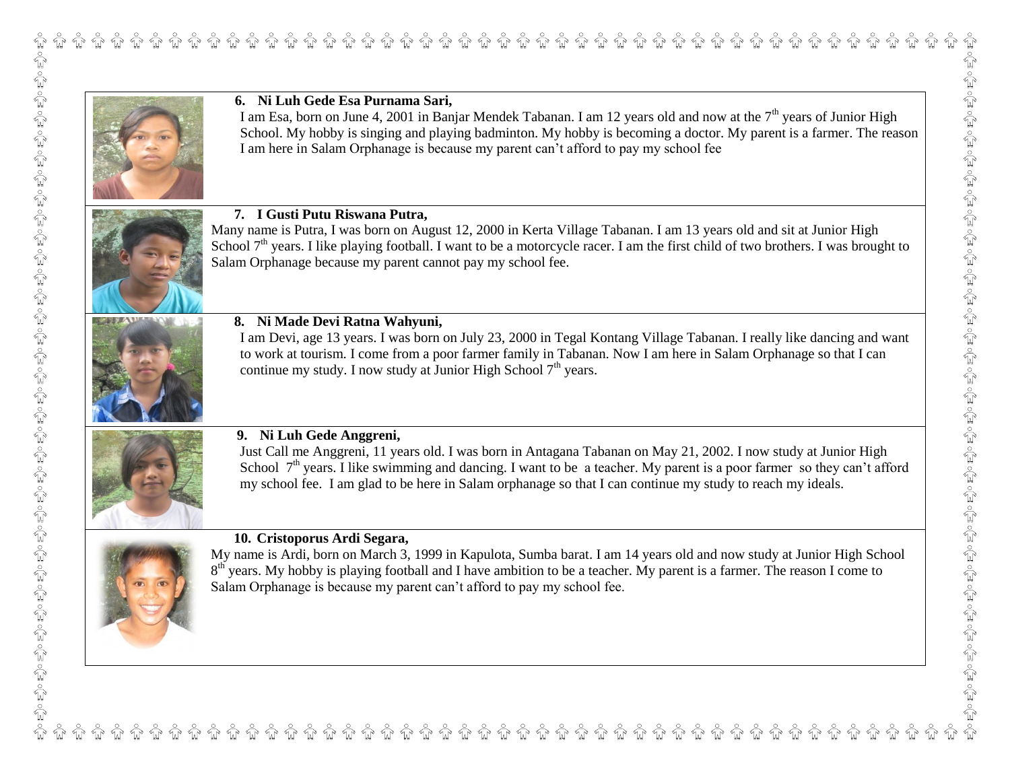